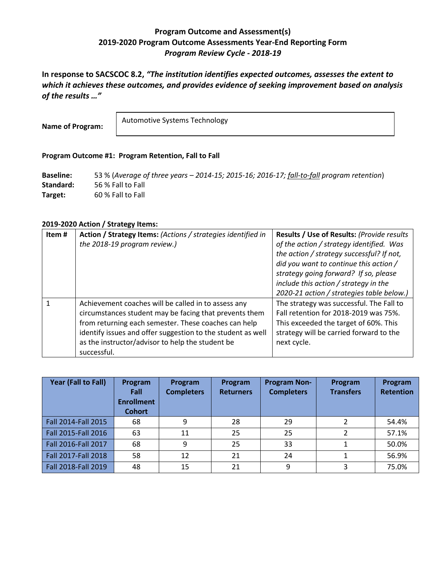# **Program Outcome and Assessment(s) 2019-2020 Program Outcome Assessments Year-End Reporting Form** *Program Review Cycle - 2018-19*

**In response to SACSCOC 8.2,** *"The institution identifies expected outcomes, assesses the extent to which it achieves these outcomes, and provides evidence of seeking improvement based on analysis of the results …"*

**Name of Program:**

Automotive Systems Technology

#### **Program Outcome #1: Program Retention, Fall to Fall**

**Baseline:** 53 % (*Average of three years – 2014-15; 2015-16; 2016-17; fall-to-fall program retention*) **Standard:** 56 % Fall to Fall **Target:** 60 % Fall to Fall

#### **2019-2020 Action / Strategy Items:**

| Item# | Action / Strategy Items: (Actions / strategies identified in | Results / Use of Results: (Provide results |
|-------|--------------------------------------------------------------|--------------------------------------------|
|       | the 2018-19 program review.)                                 | of the action / strategy identified. Was   |
|       |                                                              | the action / strategy successful? If not,  |
|       |                                                              | did you want to continue this action /     |
|       |                                                              | strategy going forward? If so, please      |
|       |                                                              | include this action / strategy in the      |
|       |                                                              | 2020-21 action / strategies table below.)  |
|       | Achievement coaches will be called in to assess any          | The strategy was successful. The Fall to   |
|       | circumstances student may be facing that prevents them       | Fall retention for 2018-2019 was 75%.      |
|       | from returning each semester. These coaches can help         | This exceeded the target of 60%. This      |
|       | identify issues and offer suggestion to the student as well  | strategy will be carried forward to the    |
|       | as the instructor/advisor to help the student be             | next cycle.                                |
|       | successful.                                                  |                                            |

| Year (Fall to Fall) | Program<br>Fall<br><b>Enrollment</b><br><b>Cohort</b> | Program<br><b>Completers</b> | Program<br><b>Returners</b> | <b>Program Non-</b><br><b>Completers</b> | Program<br><b>Transfers</b> | Program<br><b>Retention</b> |
|---------------------|-------------------------------------------------------|------------------------------|-----------------------------|------------------------------------------|-----------------------------|-----------------------------|
| Fall 2014-Fall 2015 | 68                                                    | 9                            | 28                          | 29                                       | 2                           | 54.4%                       |
| Fall 2015-Fall 2016 | 63                                                    | 11                           | 25                          | 25                                       | 2                           | 57.1%                       |
| Fall 2016-Fall 2017 | 68                                                    | 9                            | 25                          | 33                                       |                             | 50.0%                       |
| Fall 2017-Fall 2018 | 58                                                    | 12                           | 21                          | 24                                       |                             | 56.9%                       |
| Fall 2018-Fall 2019 | 48                                                    | 15                           | 21                          | 9                                        | 3                           | 75.0%                       |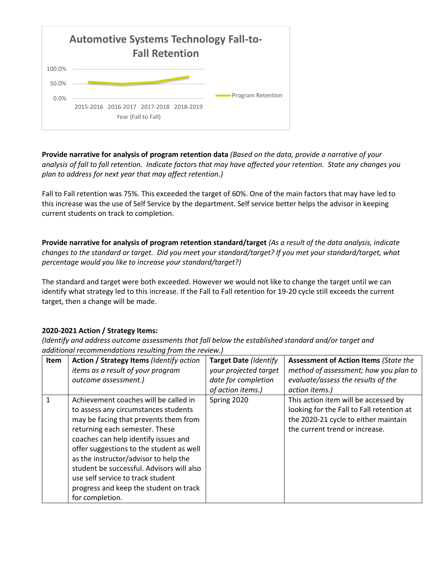

**Provide narrative for analysis of program retention data** *(Based on the data, provide a narrative of your analysis of fall to fall retention. Indicate factors that may have affected your retention. State any changes you plan to address for next year that may affect retention.)*

Fall to Fall retention was 75%. This exceeded the target of 60%. One of the main factors that may have led to this increase was the use of Self Service by the department. Self service better helps the advisor in keeping current students on track to completion.

**Provide narrative for analysis of program retention standard/target** *(As a result of the data analysis, indicate changes to the standard or target. Did you meet your standard/target? If you met your standard/target, what percentage would you like to increase your standard/target?)*

The standard and target were both exceeded. However we would not like to change the target until we can identify what strategy led to this increase. If the Fall to Fall retention for 19-20 cycle still exceeds the current target, then a change will be made.

#### **2020-2021 Action / Strategy Items:**

| Item | Action / Strategy Items (Identify action<br>items as a result of your program<br>outcome assessment.)                                                                                                                                                                                                                                                                                                                                | <b>Target Date (Identify</b><br>your projected target<br>date for completion<br>of action items.) | <b>Assessment of Action Items (State the</b><br>method of assessment; how you plan to<br>evaluate/assess the results of the<br>action items.)               |
|------|--------------------------------------------------------------------------------------------------------------------------------------------------------------------------------------------------------------------------------------------------------------------------------------------------------------------------------------------------------------------------------------------------------------------------------------|---------------------------------------------------------------------------------------------------|-------------------------------------------------------------------------------------------------------------------------------------------------------------|
| 1    | Achievement coaches will be called in<br>to assess any circumstances students<br>may be facing that prevents them from<br>returning each semester. These<br>coaches can help identify issues and<br>offer suggestions to the student as well<br>as the instructor/advisor to help the<br>student be successful. Advisors will also<br>use self service to track student<br>progress and keep the student on track<br>for completion. | Spring 2020                                                                                       | This action item will be accessed by<br>looking for the Fall to Fall retention at<br>the 2020-21 cycle to either maintain<br>the current trend or increase. |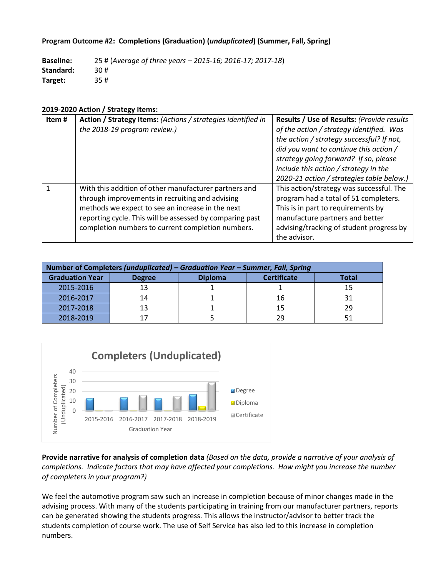#### **Program Outcome #2: Completions (Graduation) (***unduplicated***) (Summer, Fall, Spring)**

**Baseline:** 25 # (*Average of three years – 2015-16; 2016-17; 2017-18*) **Standard:** 30 # **Target:** 35 #

#### **2019-2020 Action / Strategy Items:**

| Item# | Action / Strategy Items: (Actions / strategies identified in<br>the 2018-19 program review.)                                                                                                                                                                                  | Results / Use of Results: (Provide results<br>of the action / strategy identified. Was<br>the action / strategy successful? If not,<br>did you want to continue this action /<br>strategy going forward? If so, please<br>include this action / strategy in the<br>2020-21 action / strategies table below.) |
|-------|-------------------------------------------------------------------------------------------------------------------------------------------------------------------------------------------------------------------------------------------------------------------------------|--------------------------------------------------------------------------------------------------------------------------------------------------------------------------------------------------------------------------------------------------------------------------------------------------------------|
|       | With this addition of other manufacturer partners and<br>through improvements in recruiting and advising<br>methods we expect to see an increase in the next<br>reporting cycle. This will be assessed by comparing past<br>completion numbers to current completion numbers. | This action/strategy was successful. The<br>program had a total of 51 completers.<br>This is in part to requirements by<br>manufacture partners and better<br>advising/tracking of student progress by<br>the advisor.                                                                                       |

| Number of Completers (unduplicated) – Graduation Year – Summer, Fall, Spring |                |  |    |     |  |  |
|------------------------------------------------------------------------------|----------------|--|----|-----|--|--|
| <b>Graduation Year</b>                                                       | <b>Total</b>   |  |    |     |  |  |
| 2015-2016                                                                    | 13             |  |    |     |  |  |
| 2016-2017                                                                    | 14             |  | 16 |     |  |  |
| 2017-2018                                                                    | 1 <sup>2</sup> |  | 15 | 29. |  |  |
| 2018-2019                                                                    |                |  | 29 |     |  |  |



**Provide narrative for analysis of completion data** *(Based on the data, provide a narrative of your analysis of completions. Indicate factors that may have affected your completions. How might you increase the number of completers in your program?)*

We feel the automotive program saw such an increase in completion because of minor changes made in the advising process. With many of the students participating in training from our manufacturer partners, reports can be generated showing the students progress. This allows the instructor/advisor to better track the students completion of course work. The use of Self Service has also led to this increase in completion numbers.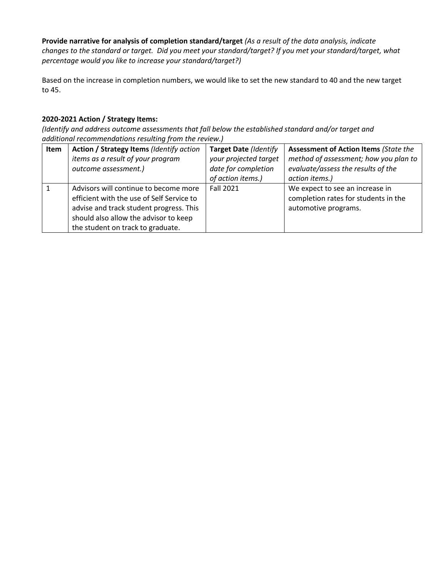**Provide narrative for analysis of completion standard/target** *(As a result of the data analysis, indicate changes to the standard or target. Did you meet your standard/target? If you met your standard/target, what percentage would you like to increase your standard/target?)*

Based on the increase in completion numbers, we would like to set the new standard to 40 and the new target to 45.

## **2020-2021 Action / Strategy Items:**

| Item | Action / Strategy Items (Identify action<br>items as a result of your program<br>outcome assessment.)                                                                                                       | Target Date (Identify<br>your projected target<br>date for completion<br>of action items.) | <b>Assessment of Action Items (State the</b><br>method of assessment; how you plan to<br>evaluate/assess the results of the<br>action items.) |
|------|-------------------------------------------------------------------------------------------------------------------------------------------------------------------------------------------------------------|--------------------------------------------------------------------------------------------|-----------------------------------------------------------------------------------------------------------------------------------------------|
|      | Advisors will continue to become more<br>efficient with the use of Self Service to<br>advise and track student progress. This<br>should also allow the advisor to keep<br>the student on track to graduate. | <b>Fall 2021</b>                                                                           | We expect to see an increase in<br>completion rates for students in the<br>automotive programs.                                               |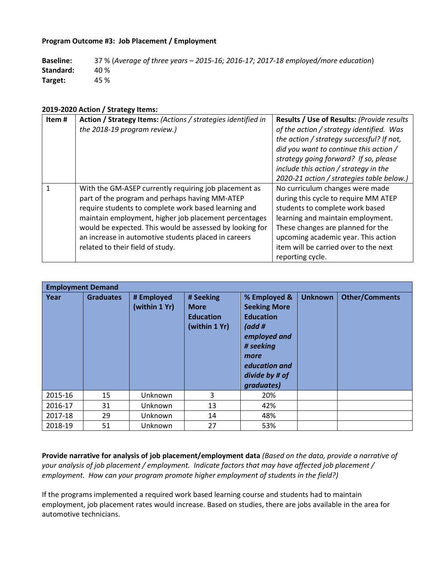#### **Program Outcome #3: Job Placement / Employment**

| <b>Baseline:</b> | 37 % (Average of three years - 2015-16; 2016-17; 2017-18 employed/more education) |
|------------------|-----------------------------------------------------------------------------------|
| Standard:        | 40 %                                                                              |
| Target:          | 45 %                                                                              |

#### **2019-2020 Action / Strategy Items:**

| Item# | Action / Strategy Items: (Actions / strategies identified in<br>the 2018-19 program review.)                                                                                                                                                                                                                                                                                     | Results / Use of Results: (Provide results<br>of the action / strategy identified. Was<br>the action / strategy successful? If not,<br>did you want to continue this action /<br>strategy going forward? If so, please<br>include this action / strategy in the<br>2020-21 action / strategies table below.) |
|-------|----------------------------------------------------------------------------------------------------------------------------------------------------------------------------------------------------------------------------------------------------------------------------------------------------------------------------------------------------------------------------------|--------------------------------------------------------------------------------------------------------------------------------------------------------------------------------------------------------------------------------------------------------------------------------------------------------------|
|       | With the GM-ASEP currently requiring job placement as<br>part of the program and perhaps having MM-ATEP<br>require students to complete work based learning and<br>maintain employment, higher job placement percentages<br>would be expected. This would be assessed by looking for<br>an increase in automotive students placed in careers<br>related to their field of study. | No curriculum changes were made<br>during this cycle to require MM ATEP<br>students to complete work based<br>learning and maintain employment.<br>These changes are planned for the<br>upcoming academic year. This action<br>item will be carried over to the next<br>reporting cycle.                     |

| <b>Employment Demand</b> |                  |                             |                                                               |                                                                                                                                                                    |                |                       |  |
|--------------------------|------------------|-----------------------------|---------------------------------------------------------------|--------------------------------------------------------------------------------------------------------------------------------------------------------------------|----------------|-----------------------|--|
| Year                     | <b>Graduates</b> | # Employed<br>(within 1 Yr) | # Seeking<br><b>More</b><br><b>Education</b><br>(within 1 Yr) | % Employed &<br><b>Seeking More</b><br><b>Education</b><br>( $add$ #<br>employed and<br># seeking<br>more<br>education and<br>divide by # of<br><i>graduates</i> ) | <b>Unknown</b> | <b>Other/Comments</b> |  |
| 2015-16                  | 15               | Unknown                     | 3                                                             | 20%                                                                                                                                                                |                |                       |  |
| 2016-17                  | 31               | Unknown                     | 13                                                            | 42%                                                                                                                                                                |                |                       |  |
| 2017-18                  | 29               | Unknown                     | 14                                                            | 48%                                                                                                                                                                |                |                       |  |
| 2018-19                  | 51               | Unknown                     | 27                                                            | 53%                                                                                                                                                                |                |                       |  |

**Provide narrative for analysis of job placement/employment data** *(Based on the data, provide a narrative of your analysis of job placement / employment. Indicate factors that may have affected job placement / employment. How can your program promote higher employment of students in the field?)*

If the programs implemented a required work based learning course and students had to maintain employment, job placement rates would increase. Based on studies, there are jobs available in the area for automotive technicians.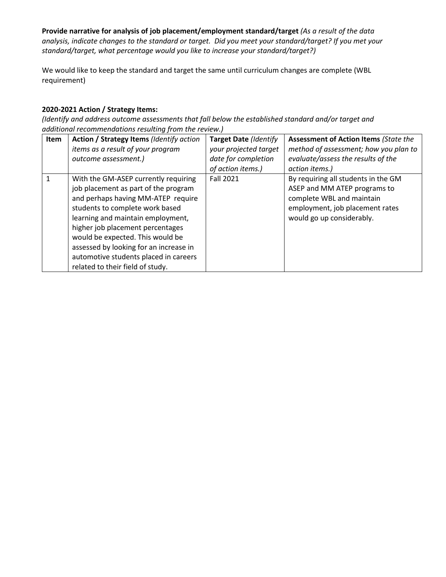**Provide narrative for analysis of job placement/employment standard/target** *(As a result of the data analysis, indicate changes to the standard or target. Did you meet your standard/target? If you met your standard/target, what percentage would you like to increase your standard/target?)*

We would like to keep the standard and target the same until curriculum changes are complete (WBL requirement)

### **2020-2021 Action / Strategy Items:**

| Item | Action / Strategy Items (Identify action<br>items as a result of your program<br>outcome assessment.)                                                                                                                                                                                                                                                                                     | <b>Target Date (Identify</b><br>your projected target<br>date for completion | <b>Assessment of Action Items (State the</b><br>method of assessment; how you plan to<br>evaluate/assess the results of the                                      |
|------|-------------------------------------------------------------------------------------------------------------------------------------------------------------------------------------------------------------------------------------------------------------------------------------------------------------------------------------------------------------------------------------------|------------------------------------------------------------------------------|------------------------------------------------------------------------------------------------------------------------------------------------------------------|
|      |                                                                                                                                                                                                                                                                                                                                                                                           | of action items.)                                                            | action items.)                                                                                                                                                   |
|      | With the GM-ASEP currently requiring<br>job placement as part of the program<br>and perhaps having MM-ATEP require<br>students to complete work based<br>learning and maintain employment,<br>higher job placement percentages<br>would be expected. This would be<br>assessed by looking for an increase in<br>automotive students placed in careers<br>related to their field of study. | <b>Fall 2021</b>                                                             | By requiring all students in the GM<br>ASEP and MM ATEP programs to<br>complete WBL and maintain<br>employment, job placement rates<br>would go up considerably. |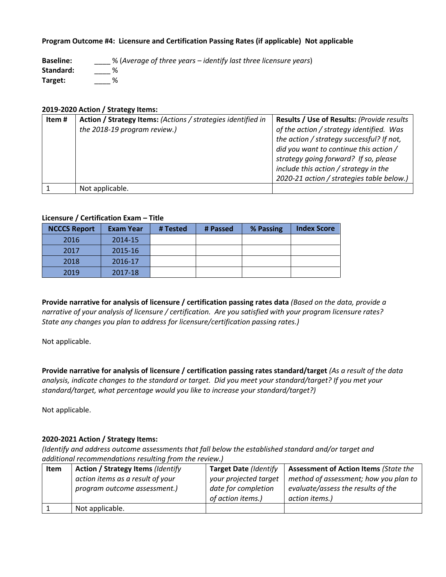#### **Program Outcome #4: Licensure and Certification Passing Rates (if applicable) Not applicable**

**Baseline:** \_\_\_\_ % (*Average of three years – identify last three licensure years*) **Standard:** \_\_\_\_ % **Target:** \_\_\_\_ %

#### **2019-2020 Action / Strategy Items:**

| Item# | Action / Strategy Items: (Actions / strategies identified in | Results / Use of Results: (Provide results                                                                                                                            |
|-------|--------------------------------------------------------------|-----------------------------------------------------------------------------------------------------------------------------------------------------------------------|
|       | the 2018-19 program review.)                                 | of the action / strategy identified. Was<br>the action / strategy successful? If not,                                                                                 |
|       |                                                              | did you want to continue this action /<br>strategy going forward? If so, please<br>include this action / strategy in the<br>2020-21 action / strategies table below.) |
|       | Not applicable.                                              |                                                                                                                                                                       |

#### **Licensure / Certification Exam – Title**

| <b>NCCCS Report</b> | <b>Exam Year</b> | # Tested | # Passed | % Passing | <b>Index Score</b> |
|---------------------|------------------|----------|----------|-----------|--------------------|
| 2016                | 2014-15          |          |          |           |                    |
| 2017                | 2015-16          |          |          |           |                    |
| 2018                | 2016-17          |          |          |           |                    |
| 2019                | 2017-18          |          |          |           |                    |

**Provide narrative for analysis of licensure / certification passing rates data** *(Based on the data, provide a narrative of your analysis of licensure / certification. Are you satisfied with your program licensure rates? State any changes you plan to address for licensure/certification passing rates.)*

Not applicable.

**Provide narrative for analysis of licensure / certification passing rates standard/target** *(As a result of the data analysis, indicate changes to the standard or target. Did you meet your standard/target? If you met your standard/target, what percentage would you like to increase your standard/target?)*

Not applicable.

#### **2020-2021 Action / Strategy Items:**

| <b>Item</b> | <b>Action / Strategy Items (Identify</b>                         | Target Date (Identify                                             | <b>Assessment of Action Items (State the</b>                                                  |
|-------------|------------------------------------------------------------------|-------------------------------------------------------------------|-----------------------------------------------------------------------------------------------|
|             | action items as a result of your<br>program outcome assessment.) | your projected target<br>date for completion<br>of action items.) | method of assessment; how you plan to<br>evaluate/assess the results of the<br>action items.) |
|             | Not applicable.                                                  |                                                                   |                                                                                               |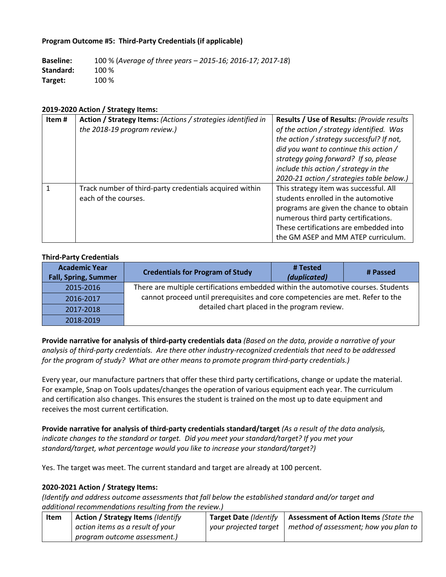#### **Program Outcome #5: Third-Party Credentials (if applicable)**

**Baseline:** 100 % (*Average of three years – 2015-16; 2016-17; 2017-18*) **Standard:** 100 % **Target:** 100 %

#### **2019-2020 Action / Strategy Items:**

| Item# | Action / Strategy Items: (Actions / strategies identified in | Results / Use of Results: (Provide results |
|-------|--------------------------------------------------------------|--------------------------------------------|
|       | the 2018-19 program review.)                                 | of the action / strategy identified. Was   |
|       |                                                              | the action / strategy successful? If not,  |
|       |                                                              | did you want to continue this action /     |
|       |                                                              | strategy going forward? If so, please      |
|       |                                                              | include this action / strategy in the      |
|       |                                                              | 2020-21 action / strategies table below.)  |
|       | Track number of third-party credentials acquired within      | This strategy item was successful. All     |
|       | each of the courses.                                         | students enrolled in the automotive        |
|       |                                                              | programs are given the chance to obtain    |
|       |                                                              | numerous third party certifications.       |
|       |                                                              | These certifications are embedded into     |
|       |                                                              | the GM ASEP and MM ATEP curriculum.        |

#### **Third-Party Credentials**

| <b>Academic Year</b><br><b>Fall, Spring, Summer</b> | <b>Credentials for Program of Study</b>                                                                                                                                                                              | # Tested<br>(duplicated) | # Passed |
|-----------------------------------------------------|----------------------------------------------------------------------------------------------------------------------------------------------------------------------------------------------------------------------|--------------------------|----------|
| 2015-2016                                           | There are multiple certifications embedded within the automotive courses. Students<br>cannot proceed until prerequisites and core competencies are met. Refer to the<br>detailed chart placed in the program review. |                          |          |
| 2016-2017                                           |                                                                                                                                                                                                                      |                          |          |
| 2017-2018                                           |                                                                                                                                                                                                                      |                          |          |
| 2018-2019                                           |                                                                                                                                                                                                                      |                          |          |

**Provide narrative for analysis of third-party credentials data** *(Based on the data, provide a narrative of your analysis of third-party credentials. Are there other industry-recognized credentials that need to be addressed for the program of study? What are other means to promote program third-party credentials.)*

Every year, our manufacture partners that offer these third party certifications, change or update the material. For example, Snap on Tools updates/changes the operation of various equipment each year. The curriculum and certification also changes. This ensures the student is trained on the most up to date equipment and receives the most current certification.

**Provide narrative for analysis of third-party credentials standard/target** *(As a result of the data analysis, indicate changes to the standard or target. Did you meet your standard/target? If you met your standard/target, what percentage would you like to increase your standard/target?)*

Yes. The target was meet. The current standard and target are already at 100 percent.

#### **2020-2021 Action / Strategy Items:**

| Item | <b>Action / Strategy Items (Identify</b> | Target Date (Identify | Assessment of Action Items (State the        |
|------|------------------------------------------|-----------------------|----------------------------------------------|
|      | action items as a result of your         | your projected target | $\mid$ method of assessment; how you plan to |
|      | program outcome assessment.)             |                       |                                              |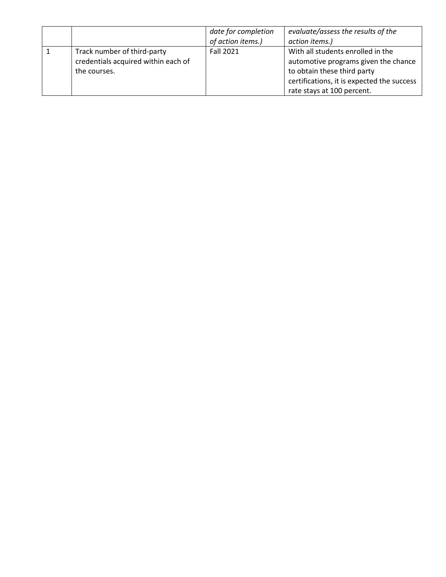|                                                                                    | date for completion<br>of action items.) | evaluate/assess the results of the<br>action items.)                                                                                                                                 |
|------------------------------------------------------------------------------------|------------------------------------------|--------------------------------------------------------------------------------------------------------------------------------------------------------------------------------------|
| Track number of third-party<br>credentials acquired within each of<br>the courses. | <b>Fall 2021</b>                         | With all students enrolled in the<br>automotive programs given the chance<br>to obtain these third party<br>certifications, it is expected the success<br>rate stays at 100 percent. |